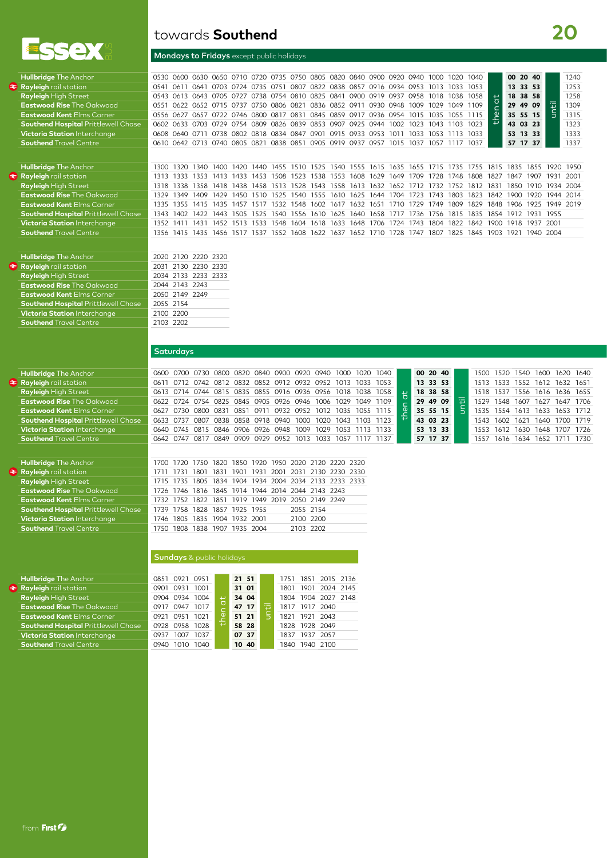

| <b>Hullbridge</b> The Anchor               |                                                                                      |  |  |  |  |  |  |  | 0530 0600 0630 0650 0710 0720 0735 0750 0805 0820 0840 0900 0920 0940 1000 1020 1040 |      | 00 20 40 |          |    | 1240 |
|--------------------------------------------|--------------------------------------------------------------------------------------|--|--|--|--|--|--|--|--------------------------------------------------------------------------------------|------|----------|----------|----|------|
| <b>Rayleigh</b> rail station               |                                                                                      |  |  |  |  |  |  |  | 0541 0611 0641 0703 0724 0735 0751 0807 0822 0838 0857 0916 0934 0953 1013 1033 1053 |      | 13 33 53 |          |    | 1253 |
| <b>Rayleigh High Street</b>                |                                                                                      |  |  |  |  |  |  |  | 0543 0613 0643 0705 0727 0738 0754 0810 0825 0841 0900 0919 0937 0958 1018 1038 1058 | ا سا |          | 18 38 58 |    | 1258 |
| <b>Eastwood Rise The Oakwood</b>           | 0551 0622 0652 0715 0737 0750 0806 0821 0836 0852 0911 0930 0948 1009 1029 1049 1109 |  |  |  |  |  |  |  |                                                                                      |      | 29 49 09 |          | ъ  | 1309 |
| <b>Eastwood Kent Elms Corner</b>           |                                                                                      |  |  |  |  |  |  |  | 0556 0627 0657 0722 0746 0800 0817 0831 0845 0859 0917 0936 0954 1015 1035 1055 1115 | ு    |          | 35 55 15 | E. | 1315 |
| <b>Southend Hospital Prittlewell Chase</b> |                                                                                      |  |  |  |  |  |  |  | 0602 0633 0703 0729 0754 0809 0826 0839 0853 0907 0925 0944 1002 1023 1043 1103 1023 |      |          | 43 03 23 |    | 1323 |
| Victoria Station Interchange               |                                                                                      |  |  |  |  |  |  |  | 0608 0640 0711 0738 0802 0818 0834 0847 0901 0915 0933 0953 1011 1033 1053 1113 1033 |      |          | 53 13 33 |    | 1333 |
| <b>Southend Travel Centre</b>              |                                                                                      |  |  |  |  |  |  |  | 0610 0642 0713 0740 0805 0821 0838 0851 0905 0919 0937 0957 1015 1037 1057 1117 1037 |      | 57 17 37 |          |    | 1337 |
|                                            |                                                                                      |  |  |  |  |  |  |  |                                                                                      |      |          |          |    |      |

Eastwood Kent Elms Corner **1335 1355 1415 1435 1457 1517 1532 1548** 1602 1617 1632 1651 1710 1729 1749 1809 1829 1848 1906 1925 1949 2019 1818 1819 1819 1819 1819 1815 1835 1854 1912 1931 1955 1854 1912 1931 1955 1854 1912 **Southend Hospital** Prittlewell Chase 1343 1402 1422 1443 1505 1525 1540 1556 1610 1625 1640 1658 1717 1736 1736 1756 1815 1835 1854 1912 1931 1955 Victoria Station Interchange 1352 1411 1431 1452 1513 1533 1548 1604 1618 **Victoria Station** Interchange 1352 1411 1431 1452 1513 1533 1548 1604 1618 1633 1648 1706 1724 1743 1804 1822 1842 1900 1918 1937 2001 **Southend** Travel Centre 1356 1415 1435 1456 1517 1537 1552 1608 1622 1637 1652 1710 1728 1747 1807 1825 1845 1903 1921 1940 2004

| <b>Hullbridge The Anchor</b>               |                | 2020 2120 2220 2320 |  |
|--------------------------------------------|----------------|---------------------|--|
| Rayleigh rail station                      |                | 2031 2130 2230 2330 |  |
| <b>Rayleigh High Street</b>                |                | 2034 2133 2233 2333 |  |
| <b>Eastwood Rise The Oakwood</b>           | 2044 2143 2243 |                     |  |
| <b>Eastwood Kent Elms Corner</b>           | 2050 2149 2249 |                     |  |
| <b>Southend Hospital Prittlewell Chase</b> | 2055 2154      |                     |  |
| <b>Victoria Station Interchange</b>        | 2100 2200      |                     |  |
| <b>Southend Travel Centre</b>              | 2103 2202      |                     |  |
|                                            |                |                     |  |

| <b>Hullbridge The Anchor</b>                 |       | 0600 0700 0730                   |                          |                          |           |      | 0800 0820 0840 0900 0920 0940                |      | 1000 | 1020      | 1040           |   | 00 20 40 |   | 1500 | 1520                     | 1540 | 1600 | 1620      | 1640 |
|----------------------------------------------|-------|----------------------------------|--------------------------|--------------------------|-----------|------|----------------------------------------------|------|------|-----------|----------------|---|----------|---|------|--------------------------|------|------|-----------|------|
| $\left  \right\rangle$ Rayleigh rail station | 0611  |                                  | 0712 0742                |                          |           |      | 0812 0832 0852 0912 0932 0952                |      | 1013 | 1033      | 1053           |   | 13 33 53 |   |      | 1513 1533 1552 1612      |      |      | 1632 1651 |      |
| <b>Rayleigh High Street</b>                  |       | 0613 0714                        | 0744                     | 0815                     |           |      | 0835 0855 0916 0936 0956                     |      |      | 1018 1038 | 1058           |   | 18 38 58 |   | 1518 | 1537                     | 1556 | 1616 | 1636      | 1655 |
| <b>Eastwood Rise The Oakwood</b>             |       | 0622 0724 0754 0825              |                          |                          | 0845 0905 |      | 0926 0946                                    | 1006 | 1029 | 1049      | 1109           |   | 29 49 09 | 壶 | 1529 | 1548                     | 1607 | 1627 | 1647      | 1706 |
| <b>Eastwood Kent Elms Corner</b>             | 0627  | 0730                             | 0800                     | 0831                     | 0851      | 0911 | 0932 0952                                    | 1012 | 1035 |           | 1055 1115      | உ | 35 55 15 |   | 1535 | 1554 1613                |      | 1633 | 1653      | 1712 |
| <b>Southend Hospital Prittlewell Chase</b>   |       | 0633 0737                        | O8O7                     |                          |           |      | 0838 0858 0918 0940 1000                     | 1020 |      |           | 1043 1103 1123 |   | 43 03 23 |   | 1543 | 1602 1621                |      |      | 1640 1700 | 1719 |
| <b>Victoria Station Interchange</b>          |       |                                  |                          |                          |           |      | 0640 0745 0815 0846 0906 0926 0948 1009      | 1029 |      |           | 1053 1113 1133 |   | 53 13 33 |   | 1553 | 1612 1630 1648 1707      |      |      |           | 1726 |
| <b>Southend Travel Centre</b>                |       | 0642 0747                        | 0817                     |                          |           |      | 0849 0909 0929 0952 1013                     | 1033 |      |           | 1057 1117 1137 |   | 57 17 37 |   | 1557 | 1616 1634 1652 1711 1730 |      |      |           |      |
|                                              |       |                                  |                          |                          |           |      |                                              |      |      |           |                |   |          |   |      |                          |      |      |           |      |
| <b>Hullbridge The Anchor</b>                 | 1700. | 1720                             | 1750                     |                          |           |      | 1820 1850 1920 1950 2020 2120 2220 2320      |      |      |           |                |   |          |   |      |                          |      |      |           |      |
| $\approx$ Rayleigh rail station              | 1711  | 1731                             | 1801                     | 1831 1901 1931 2001      |           |      | 2031 2130 2230 2330                          |      |      |           |                |   |          |   |      |                          |      |      |           |      |
| <b>Rayleigh High Street</b>                  | 1715  | 1735                             |                          |                          |           |      | 1805 1834 1904 1934 2004 2034 2133 2233 2333 |      |      |           |                |   |          |   |      |                          |      |      |           |      |
| <b>Eastwood Rise The Oakwood</b>             | 1726  | 1746                             |                          |                          |           |      | 1816 1845 1914 1944 2014 2044 2143 2243      |      |      |           |                |   |          |   |      |                          |      |      |           |      |
| <b>Eastwood Kent Elms Corner</b>             | 1732  | 1752                             |                          | 1822 1851 1919 1949 2019 |           |      | 2050 2149 2249                               |      |      |           |                |   |          |   |      |                          |      |      |           |      |
| <b>Southend Hospital Prittlewell Chase</b>   | 1739  | 1758                             | 1828 1857 1925 1955      |                          |           |      | 2055 2154                                    |      |      |           |                |   |          |   |      |                          |      |      |           |      |
| Victoria Station Interchange                 | 1746  | 1805                             |                          | 1835 1904 1932 2001      |           |      | 2100 2200                                    |      |      |           |                |   |          |   |      |                          |      |      |           |      |
| <b>Southend Travel Centre</b>                | 1750  |                                  | 1808 1838 1907 1935 2004 |                          |           |      | 2103 2202                                    |      |      |           |                |   |          |   |      |                          |      |      |           |      |
|                                              |       |                                  |                          |                          |           |      |                                              |      |      |           |                |   |          |   |      |                          |      |      |           |      |
|                                              |       |                                  |                          |                          |           |      |                                              |      |      |           |                |   |          |   |      |                          |      |      |           |      |
|                                              |       | <b>Sundays</b> & public holidays |                          |                          |           |      |                                              |      |      |           |                |   |          |   |      |                          |      |      |           |      |

| <b>Hullbridge The Anchor</b>               | 0851 0921 0951       | 21 51 |     | 1751 1851 2015 2136 |                     |  |
|--------------------------------------------|----------------------|-------|-----|---------------------|---------------------|--|
| Rayleigh rail station                      | 0931 1001<br>0901    | 31 01 |     |                     | 1801 1901 2024 2145 |  |
| <b>Rayleigh High Street</b>                | 0904 0934 1004       | 34 04 |     |                     | 1804 1904 2027 2148 |  |
| <b>Eastwood Rise The Oakwood</b>           | 0917 0947<br>1017    | 47 17 | n a |                     | 1817 1917 2040      |  |
| <b>Eastwood Kent Elms Corner</b>           | 0951<br>1021<br>0921 | 51 21 |     |                     | 1821 1921 2043      |  |
| <b>Southend Hospital Prittlewell Chase</b> | 0928 0958 1028       | 58 28 |     |                     | 1828 1928 2049      |  |
| <b>Victoria Station Interchange</b>        | 1007<br>1037<br>0937 | 07 37 |     |                     | 1837 1937 2057      |  |
| <b>Southend Travel Centre</b>              | 1040<br>0940         | 10 40 |     | 1840                | 1940 2100           |  |
|                                            |                      |       |     |                     |                     |  |

**Saturdays** 

## towards **Southend**

## Mondays to Fridays except public holidays

**20**

| <b>Rayleigh</b> rail station               |       | 0541 0611 0641 0703 0724 0735 0751 0807 0822 0838 0857 0916 0934 0953 1013 1033 1053 |       |      |      |       |       |                     |                |      |                |      |                     |      |      |           |      |      |      | 13 33 53  |   | 1253      |
|--------------------------------------------|-------|--------------------------------------------------------------------------------------|-------|------|------|-------|-------|---------------------|----------------|------|----------------|------|---------------------|------|------|-----------|------|------|------|-----------|---|-----------|
| <b>Rayleigh High Street</b>                |       | 0543 0613 0643 0705 0727 0738 0754 0810 0825 0841 0900 0919 0937 0958 1018 1038      |       |      |      |       |       |                     |                |      |                |      |                     |      |      |           | 1058 |      |      | 18 38 58  |   | 1258      |
| <b>Eastwood Rise</b> The Oakwood           |       | 0551 0622 0652 0715 0737 0750 0806 0821 0836 0852 0911 0930 0948 1009                |       |      |      |       |       |                     |                |      |                |      |                     |      | 1029 | 1049 1109 |      |      |      | 29 49 09  | 声 | 1309      |
| <b>Eastwood Kent Elms Corner</b>           |       | 0556 0627 0657 0722 0746 0800 0817 0831 0845 0859 0917 0936 0954 1015 1035 1055 1115 |       |      |      |       |       |                     |                |      |                |      |                     |      |      |           |      | ் ம  |      | 35 55 15  |   | 1315      |
| <b>Southend Hospital Prittlewell Chase</b> |       | 0602 0633 0703 0729 0754 0809 0826 0839 0853 0907 0925 0944 1002                     |       |      |      |       |       |                     |                |      |                |      |                     | 1023 | 1043 |           | 1023 |      |      | 43 03 23  |   | 1323      |
| Victoria Station Interchange               |       | 0608 0640 0711 0738 0802 0818 0834 0847 0901                                         |       |      |      |       |       |                     |                |      | 0915 0933 0953 |      | 1011                | 1033 | 1053 |           | 1033 |      |      | 53 13 33  |   | 1333      |
| <b>Southend</b> Travel Centre              |       | 0610 0642 0713 0740 0805 0821 0838 0851 0905 0919 0937 0957                          |       |      |      |       |       |                     |                |      |                |      | 1015 1037           |      | 1057 |           | 1037 |      |      | 57 17 37  |   | 1337      |
|                                            |       |                                                                                      |       |      |      |       |       |                     |                |      |                |      |                     |      |      |           |      |      |      |           |   |           |
| <b>Hullbridge</b> The Anchor               |       | 1300 1320                                                                            | 1340  | 1400 | 1420 | 1440  |       | 1455 1510 1525 1540 |                |      | 1555           |      | 1615 1635 1655 1715 |      |      | 1735      | 1755 | 1815 |      | 1835 1855 |   | 1920 1950 |
| <b>Rayleigh</b> rail station               |       | 1313 1333                                                                            | 1353  | 1413 | 1433 | 1453  | 1508. | 1523                | 1538           | 1553 | 1608.          | 1629 | 1649                | 1709 | 1728 | 1748.     | 1808 | 1827 | 1847 | 1907      |   | 1931 2001 |
| <b>Rayleigh High Street</b>                | 1318. | 1338                                                                                 | 1358. | 1418 | 1438 | 1458. | 1513  | 1528.               | 1543 1558      |      | 1613.          | 1632 | 1652                | 1712 | 1732 | 1752.     | 1812 | 1831 | 1850 | 1910.     |   | 1934 2004 |
| <b>Eastwood Rise</b> The Oakwood           | 1329  | 1349                                                                                 | 1409  | 1429 | 1450 | 1510  | 1525  |                     | 1540 1555 1610 |      | 1625 1644      |      | 1704 1723 1743      |      |      | 1803      | 1823 | 1842 | 1900 | 1920      |   | 1944 2014 |
|                                            |       |                                                                                      |       |      |      |       |       |                     |                |      |                |      |                     |      |      |           |      |      |      |           |   |           |